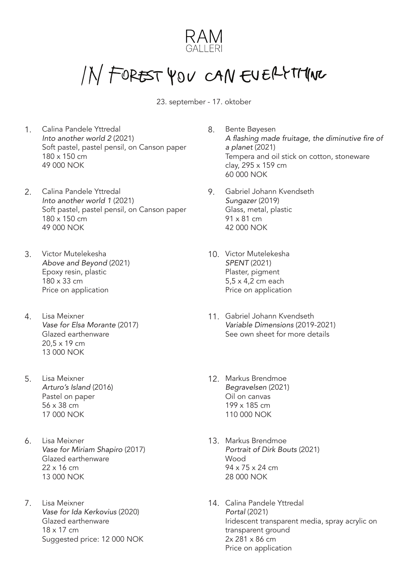

## IN FOREST YOU CAN EVERYTHING

23. september - 17. oktober

- 1. 8. Calina Pandele Yttredal *Into another world 2* (2021) Soft pastel, pastel pensil, on Canson paper 180 x 150 cm 49 000 NOK
- 2. Calina Pandele Yttredal 1994 1994 *Into another world 1* (2021) Soft pastel, pastel pensil, on Canson paper 180 x 150 cm 49 000 NOK
- 3. 10. Victor Mutelekesha Above and Beyond (2021) Epoxy resin, plastic 180 x 33 cm Price on application
- 4. 11. Lisa Meixner Vase for Elsa Morante (2017) Glazed earthenware 20,5 x 19 cm 13 000 NOK
- 5. 12. Lisa Meixner Arturo's Island (2016) Pastel on paper 56 x 38 cm 17 000 NOK
- 6. 13. Lisa Meixner Vase for Miriam Shapiro (2017) Glazed earthenware 22 x 16 cm 13 000 NOK
- 7. 14. Lisa Meixner Vase for Ida Kerkovius (2020) Glazed earthenware 18 x 17 cm Suggested price: 12 000 NOK
- Bente Bøyesen A flashing made fruitage, the diminutive fire of *a planet* (2021) Tempera and oil stick on cotton, stoneware clay, 295 x 159 cm 60 000 NOK
- Gabriel Johann Kvendseth Sungazer (2019) Glass, metal, plastic 91 x 81 cm 42 000 NOK
- 10. Victor Mutelekesha *SPENT* (2021) Plaster, pigment 5,5 x 4,2 cm each Price on application
- 11. Gabriel Johann Kvendseth Variable Dimensions (2019-2021) See own sheet for more details
- 12. Markus Brendmoe Begravelsen (2021) Oil on canvas 199 x 185 cm 110 000 NOK
- 13. Markus Brendmoe Portrait of Dirk Bouts (2021) Wood 94 x 75 x 24 cm 28 000 NOK
- 14. Calina Pandele Yttredal *Portal* (2021) Iridescent transparent media, spray acrylic on transparent ground 2x 281 x 86 cm Price on application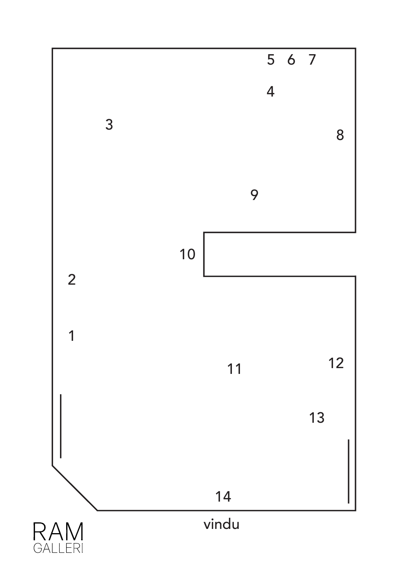